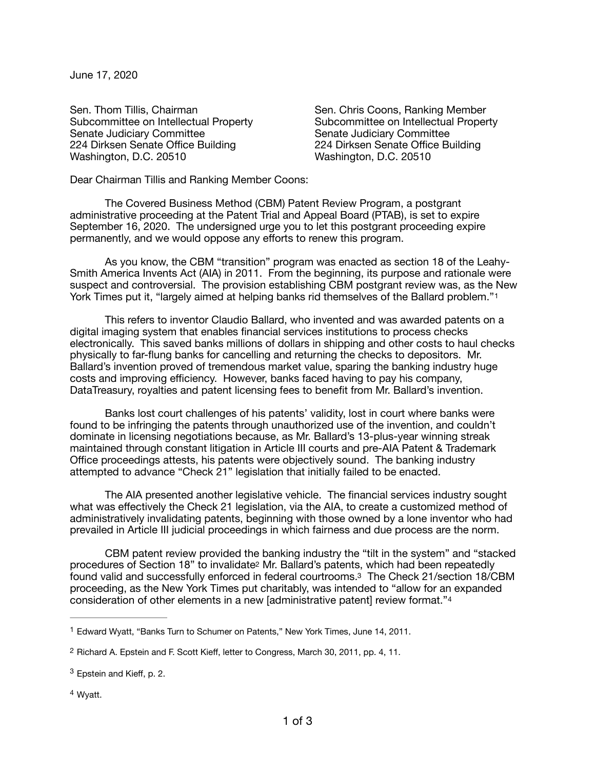June 17, 2020

Sen. Thom Tillis, Chairman **International Communist Communist Coons**, Ranking Member Senate Judiciary Committee **Bigger Committee** Senate Judiciary Committee 224 Dirksen Senate Office Building 224 Dirksen Senate Office Building Washington, D.C. 20510 **Washington, D.C. 20510** 

Subcommittee on Intellectual Property Subcommittee on Intellectual Property

Dear Chairman Tillis and Ranking Member Coons:

The Covered Business Method (CBM) Patent Review Program, a postgrant administrative proceeding at the Patent Trial and Appeal Board (PTAB), is set to expire September 16, 2020. The undersigned urge you to let this postgrant proceeding expire permanently, and we would oppose any efforts to renew this program.

As you know, the CBM "transition" program was enacted as section 18 of the Leahy-Smith America Invents Act (AIA) in 2011. From the beginning, its purpose and rationale were suspect and controversial. The provision establishing CBM postgrant review was, as the New York Times put it, "largely aimed at helping banks rid themselves of the Ballard problem."[1](#page-0-0)

<span id="page-0-4"></span>This refers to inventor Claudio Ballard, who invented and was awarded patents on a digital imaging system that enables financial services institutions to process checks electronically. This saved banks millions of dollars in shipping and other costs to haul checks physically to far-flung banks for cancelling and returning the checks to depositors. Mr. Ballard's invention proved of tremendous market value, sparing the banking industry huge costs and improving efficiency. However, banks faced having to pay his company, DataTreasury, royalties and patent licensing fees to benefit from Mr. Ballard's invention.

Banks lost court challenges of his patents' validity, lost in court where banks were found to be infringing the patents through unauthorized use of the invention, and couldn't dominate in licensing negotiations because, as Mr. Ballard's 13-plus-year winning streak maintained through constant litigation in Article III courts and pre-AIA Patent & Trademark Office proceedings attests, his patents were objectively sound. The banking industry attempted to advance "Check 21" legislation that initially failed to be enacted.

The AIA presented another legislative vehicle. The financial services industry sought what was effectively the Check 21 legislation, via the AIA, to create a customized method of administratively invalidating patents, beginning with those owned by a lone inventor who had prevailed in Article III judicial proceedings in which fairness and due process are the norm.

<span id="page-0-6"></span><span id="page-0-5"></span>CBM patent review provided the banking industry the "tilt in the system" and "stacked procedures of Section 18" to invalidat[e2](#page-0-1) Mr. Ballard's patents, which had been repeatedly found valid and successfully enforced in federal courtrooms[.3](#page-0-2) The Check 21/section 18/CBM proceeding, as the New York Times put charitably, was intended to "allow for an expanded consideration of other elements in a new [administrative patent] review format."[4](#page-0-3)

<span id="page-0-3"></span><sup>[4](#page-0-7)</sup> Wyatt.

<span id="page-0-7"></span><span id="page-0-0"></span><sup>&</sup>lt;sup>[1](#page-0-4)</sup> Edward Wyatt, "Banks Turn to Schumer on Patents," New York Times, June 14, 2011.

<span id="page-0-1"></span>[<sup>2</sup>](#page-0-5) Richard A. Epstein and F. Scott Kieff, letter to Congress, March 30, 2011, pp. 4, 11.

<span id="page-0-2"></span> $3$  Epstein and Kieff, p. 2.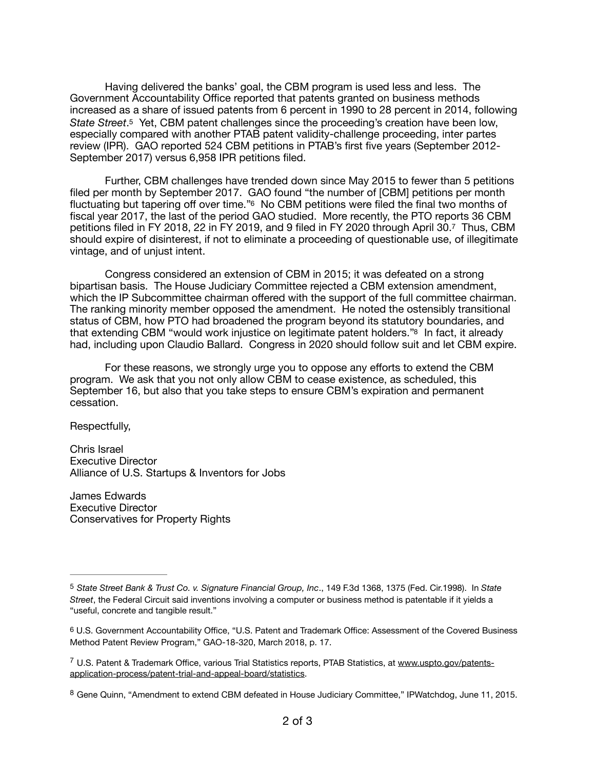<span id="page-1-4"></span>Having delivered the banks' goal, the CBM program is used less and less. The Government Accountability Office reported that patents granted on business methods increased as a share of issued patents from 6 percent in 1990 to 28 percent in 2014, following *State Street*[.5](#page-1-0) Yet, CBM patent challenges since the proceeding's creation have been low, especially compared with another PTAB patent validity-challenge proceeding, inter partes review (IPR). GAO reported 524 CBM petitions in PTAB's first five years (September 2012- September 2017) versus 6,958 IPR petitions filed.

<span id="page-1-5"></span>Further, CBM challenges have trended down since May 2015 to fewer than 5 petitions filed per month by September 2017. GAO found "the number of [CBM] petitions per month fluctuating but tapering off over time.["6](#page-1-1) No CBM petitions were filed the final two months of fiscal year 2017, the last of the period GAO studied. More recently, the PTO reports 36 CBM petitions filed in FY 2018, 22 in FY 2019, and 9 filed in FY 2020 through April 30[.7](#page-1-2) Thus, CBM should expire of disinterest, if not to eliminate a proceeding of questionable use, of illegitimate vintage, and of unjust intent.

<span id="page-1-6"></span>Congress considered an extension of CBM in 2015; it was defeated on a strong bipartisan basis. The House Judiciary Committee rejected a CBM extension amendment, which the IP Subcommittee chairman offered with the support of the full committee chairman. The ranking minority member opposed the amendment. He noted the ostensibly transitional status of CBM, how PTO had broadened the program beyond its statutory boundaries, and that extending CBM "would work injustice on legitimate patent holders.["8](#page-1-3) In fact, it already had, including upon Claudio Ballard. Congress in 2020 should follow suit and let CBM expire.

<span id="page-1-7"></span>For these reasons, we strongly urge you to oppose any efforts to extend the CBM program. We ask that you not only allow CBM to cease existence, as scheduled, this September 16, but also that you take steps to ensure CBM's expiration and permanent cessation.

Respectfully,

Chris Israel Executive Director Alliance of U.S. Startups & Inventors for Jobs

James Edwards Executive Director Conservatives for Property Rights 

<span id="page-1-0"></span>[<sup>5</sup>](#page-1-4) *State Street Bank & Trust Co. v. Signature Financial Group, Inc*., 149 F.3d 1368, 1375 (Fed. Cir.1998). In *State Street*, the Federal Circuit said inventions involving a computer or business method is patentable if it yields a "useful, concrete and tangible result."

<span id="page-1-1"></span>[<sup>6</sup>](#page-1-5) U.S. Government Accountability Office, "U.S. Patent and Trademark Office: Assessment of the Covered Business Method Patent Review Program," GAO-18-320, March 2018, p. 17.

<span id="page-1-2"></span><sup>&</sup>lt;sup>7</sup> U.S. Patent & Trademark Office, various Trial Statistics reports, PTAB Statistics, at [www.uspto.gov/patents](http://www.uspto.gov/patents-application-process/patent-trial-and-appeal-board/statistics) [application-process/patent-trial-and-appeal-board/statistics.](http://www.uspto.gov/patents-application-process/patent-trial-and-appeal-board/statistics)

<span id="page-1-3"></span><sup>&</sup>lt;sup>[8](#page-1-7)</sup> Gene Quinn, "Amendment to extend CBM defeated in House Judiciary Committee," IPWatchdog, June 11, 2015.